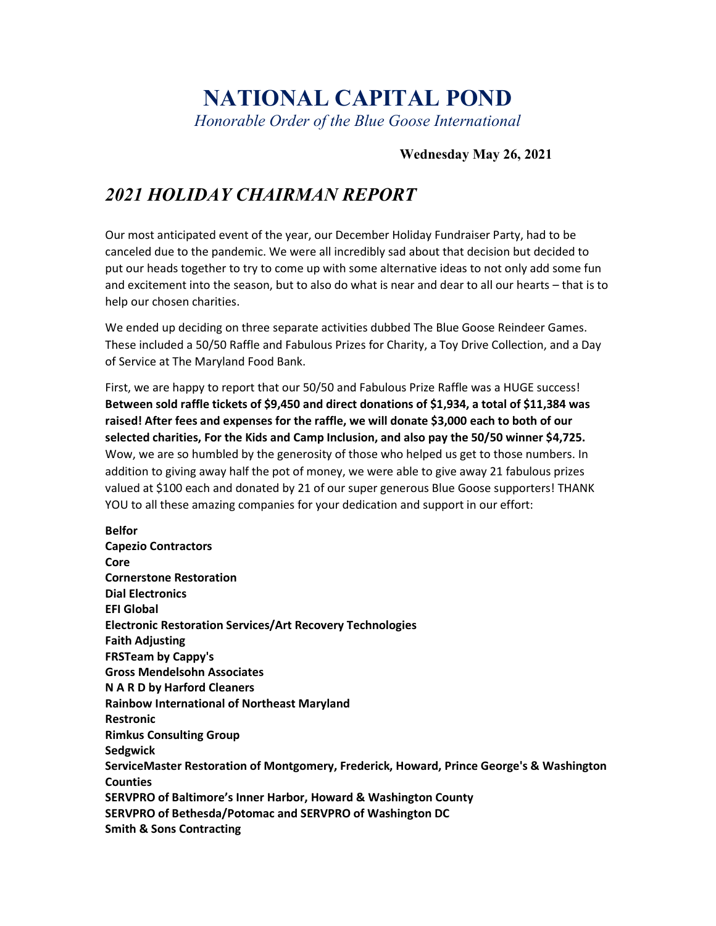# NATIONAL CAPITAL POND

Honorable Order of the Blue Goose International

### Wednesday May 26, 2021

## 2021 HOLIDAY CHAIRMAN REPORT

Our most anticipated event of the year, our December Holiday Fundraiser Party, had to be canceled due to the pandemic. We were all incredibly sad about that decision but decided to put our heads together to try to come up with some alternative ideas to not only add some fun and excitement into the season, but to also do what is near and dear to all our hearts – that is to help our chosen charities.

We ended up deciding on three separate activities dubbed The Blue Goose Reindeer Games. These included a 50/50 Raffle and Fabulous Prizes for Charity, a Toy Drive Collection, and a Day of Service at The Maryland Food Bank.

First, we are happy to report that our 50/50 and Fabulous Prize Raffle was a HUGE success! Between sold raffle tickets of \$9,450 and direct donations of \$1,934, a total of \$11,384 was raised! After fees and expenses for the raffle, we will donate \$3,000 each to both of our selected charities, For the Kids and Camp Inclusion, and also pay the 50/50 winner \$4,725. Wow, we are so humbled by the generosity of those who helped us get to those numbers. In addition to giving away half the pot of money, we were able to give away 21 fabulous prizes valued at \$100 each and donated by 21 of our super generous Blue Goose supporters! THANK YOU to all these amazing companies for your dedication and support in our effort:

Belfor Capezio Contractors **Core** Cornerstone Restoration Dial Electronics EFI Global Electronic Restoration Services/Art Recovery Technologies Faith Adjusting FRSTeam by Cappy's Gross Mendelsohn Associates N A R D by Harford Cleaners Rainbow International of Northeast Maryland **Restronic** Rimkus Consulting Group **Sedgwick** ServiceMaster Restoration of Montgomery, Frederick, Howard, Prince George's & Washington **Counties** SERVPRO of Baltimore's Inner Harbor, Howard & Washington County SERVPRO of Bethesda/Potomac and SERVPRO of Washington DC Smith & Sons Contracting